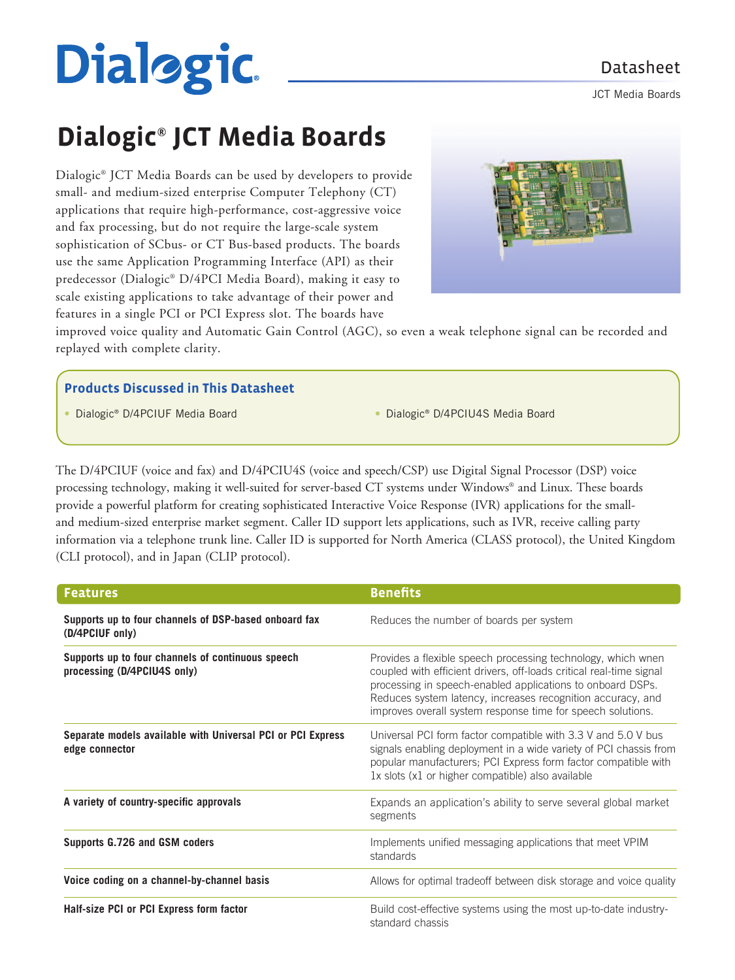# **Dialogic**

JCT Media Boards

# **Dialogic® JCT Media Boards**

Dialogic® JCT Media Boards can be used by developers to provide small- and medium-sized enterprise Computer Telephony (CT) applications that require high-performance, cost-aggressive voice and fax processing, but do not require the large-scale system sophistication of SCbus- or CT Bus-based products. The boards use the same Application Programming Interface (API) as their predecessor (Dialogic® D/4PCI Media Board), making it easy to scale existing applications to take advantage of their power and features in a single PCI or PCI Express slot. The boards have



improved voice quality and Automatic Gain Control (AGC), so even a weak telephone signal can be recorded and replayed with complete clarity.

#### **Products Discussed in This Datasheet**

• Dialogic® D/4PCIUF Media Board • Dialogic® D/4PCIU4S Media Board

The D/4PCIUF (voice and fax) and D/4PCIU4S (voice and speech/CSP) use Digital Signal Processor (DSP) voice processing technology, making it well-suited for server-based CT systems under Windows® and Linux. These boards provide a powerful platform for creating sophisticated Interactive Voice Response (IVR) applications for the smalland medium-sized enterprise market segment. Caller ID support lets applications, such as IVR, receive calling party information via a telephone trunk line. Caller ID is supported for North America (CLASS protocol), the United Kingdom (CLI protocol), and in Japan (CLIP protocol).

| Features                                                                         | <b>Benefits</b>                                                                                                                                                                                                                                                                                                                 |
|----------------------------------------------------------------------------------|---------------------------------------------------------------------------------------------------------------------------------------------------------------------------------------------------------------------------------------------------------------------------------------------------------------------------------|
| Supports up to four channels of DSP-based onboard fax<br>(D/4PCIUF only)         | Reduces the number of boards per system                                                                                                                                                                                                                                                                                         |
| Supports up to four channels of continuous speech<br>processing (D/4PCIU4S only) | Provides a flexible speech processing technology, which wnen<br>coupled with efficient drivers, off-loads critical real-time signal<br>processing in speech-enabled applications to onboard DSPs.<br>Reduces system latency, increases recognition accuracy, and<br>improves overall system response time for speech solutions. |
| Separate models available with Universal PCI or PCI Express<br>edge connector    | Universal PCI form factor compatible with 3.3 V and 5.0 V bus<br>signals enabling deployment in a wide variety of PCI chassis from<br>popular manufacturers; PCI Express form factor compatible with<br>1x slots (x1 or higher compatible) also available                                                                       |
| A variety of country-specific approvals                                          | Expands an application's ability to serve several global market<br>segments                                                                                                                                                                                                                                                     |
| Supports G.726 and GSM coders                                                    | Implements unified messaging applications that meet VPIM<br>standards                                                                                                                                                                                                                                                           |
| Voice coding on a channel-by-channel basis                                       | Allows for optimal tradeoff between disk storage and voice quality                                                                                                                                                                                                                                                              |
| Half-size PCI or PCI Express form factor                                         | Build cost-effective systems using the most up-to-date industry-<br>standard chassis                                                                                                                                                                                                                                            |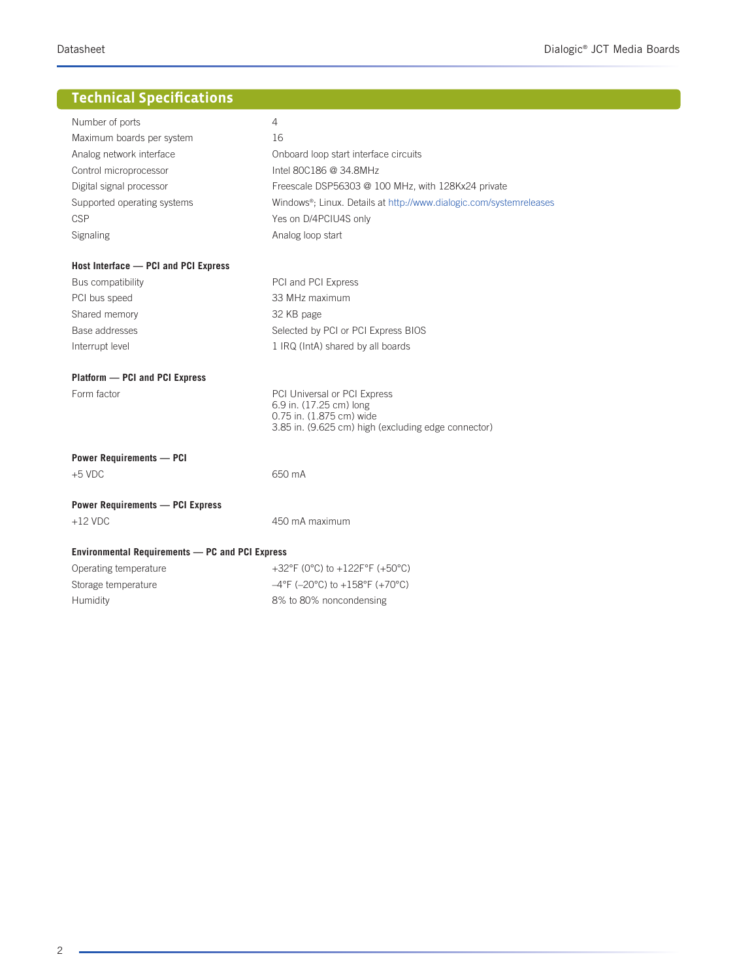# **Technical Specifications**

| Number of ports                                        | 4                                                                         |
|--------------------------------------------------------|---------------------------------------------------------------------------|
| Maximum boards per system                              | 16                                                                        |
| Analog network interface                               | Onboard loop start interface circuits                                     |
| Control microprocessor                                 | Intel 80C186 @ 34.8MHz                                                    |
| Digital signal processor                               | Freescale DSP56303 @ 100 MHz, with 128Kx24 private                        |
| Supported operating systems                            | Windows®; Linux. Details at http://www.dialogic.com/systemreleases        |
| CSP                                                    | Yes on D/4PCIU4S only                                                     |
| Signaling                                              | Analog loop start                                                         |
| Host Interface - PCI and PCI Express                   |                                                                           |
| Bus compatibility                                      | PCI and PCI Express                                                       |
| PCI bus speed                                          | 33 MHz maximum                                                            |
| Shared memory                                          | 32 KB page                                                                |
| Base addresses                                         | Selected by PCI or PCI Express BIOS                                       |
| Interrupt level                                        | 1 IRQ (IntA) shared by all boards                                         |
| Platform - PCI and PCI Express                         |                                                                           |
| Form factor                                            | PCI Universal or PCI Express<br>6.9 in. (17.25 cm) long                   |
|                                                        | 0.75 in. (1.875 cm) wide                                                  |
|                                                        | 3.85 in. (9.625 cm) high (excluding edge connector)                       |
| <b>Power Requirements - PCI</b>                        |                                                                           |
| $+5$ VDC                                               | 650 mA                                                                    |
| <b>Power Requirements - PCI Express</b>                |                                                                           |
| $+12$ VDC                                              | 450 mA maximum                                                            |
| <b>Environmental Requirements — PC and PCI Express</b> |                                                                           |
| Operating temperature                                  | +32°F (0°C) to +122F°F (+50°C)                                            |
| Storage temperature                                    | $-4^{\circ}$ F (-20 $^{\circ}$ C) to +158 $^{\circ}$ F (+70 $^{\circ}$ C) |
| Humidity                                               | 8% to 80% noncondensing                                                   |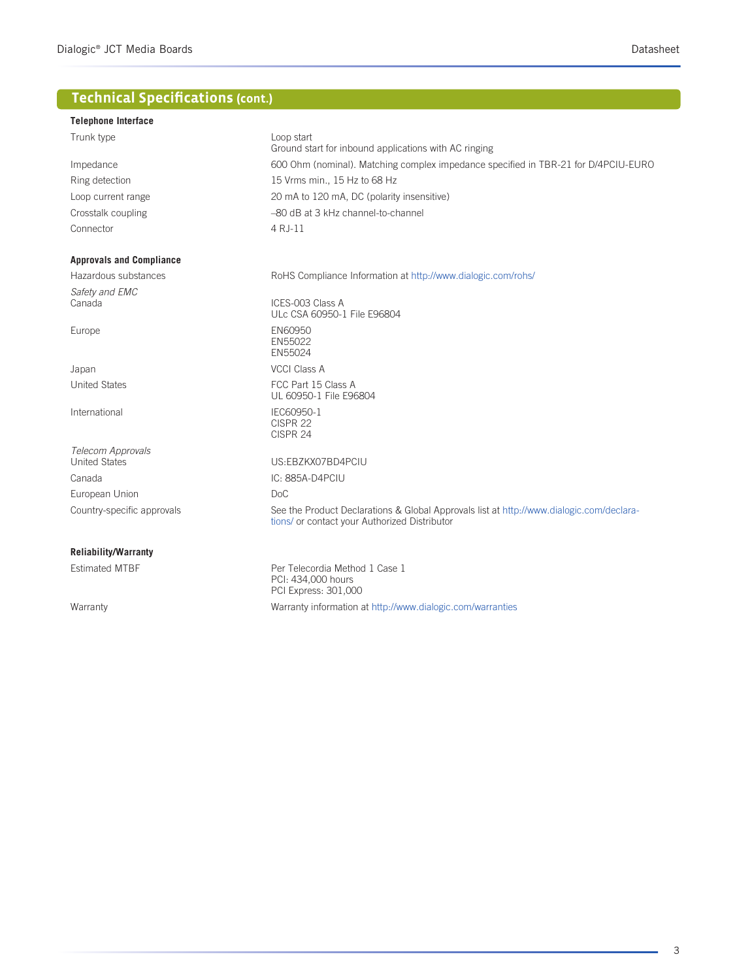# **Technical Specifications (cont.)**

#### **Telephone Interface**

| Trunk type                      | Loop start<br>Ground start for inbound applications with AC ringing                                                                       |
|---------------------------------|-------------------------------------------------------------------------------------------------------------------------------------------|
| Impedance                       | 600 Ohm (nominal). Matching complex impedance specified in TBR-21 for D/4PCIU-EURO                                                        |
| Ring detection                  | 15 Vrms min., 15 Hz to 68 Hz                                                                                                              |
| Loop current range              | 20 mA to 120 mA, DC (polarity insensitive)                                                                                                |
| Crosstalk coupling              | -80 dB at 3 kHz channel-to-channel                                                                                                        |
| Connector                       | 4 R.J-11                                                                                                                                  |
| <b>Approvals and Compliance</b> |                                                                                                                                           |
| Hazardous substances            | RoHS Compliance Information at http://www.dialogic.com/rohs/                                                                              |
| Safety and EMC                  |                                                                                                                                           |
| Canada                          | ICES-003 Class A<br>ULc CSA 60950-1 File E96804                                                                                           |
| Europe                          | EN60950<br>EN55022<br>EN55024                                                                                                             |
| Japan                           | <b>VCCI Class A</b>                                                                                                                       |
| <b>United States</b>            | FCC Part 15 Class A<br>UL 60950-1 File E96804                                                                                             |
| International                   | IEC60950-1<br>CISPR 22<br>CISPR 24                                                                                                        |
| Telecom Approvals               |                                                                                                                                           |
| <b>United States</b>            | US:EBZKX07BD4PCIU                                                                                                                         |
| Canada                          | IC: 885A-D4PCIU                                                                                                                           |
| European Union                  | Do <sub>C</sub>                                                                                                                           |
| Country-specific approvals      | See the Product Declarations & Global Approvals list at http://www.dialogic.com/declara-<br>tions/ or contact your Authorized Distributor |
| <b>Reliability/Warranty</b>     |                                                                                                                                           |
| <b>Estimated MTBF</b>           | Per Telecordia Method 1 Case 1<br>PCI: 434,000 hours<br>PCI Express: 301,000                                                              |
| Warranty                        | Warranty information at http://www.dialogic.com/warranties                                                                                |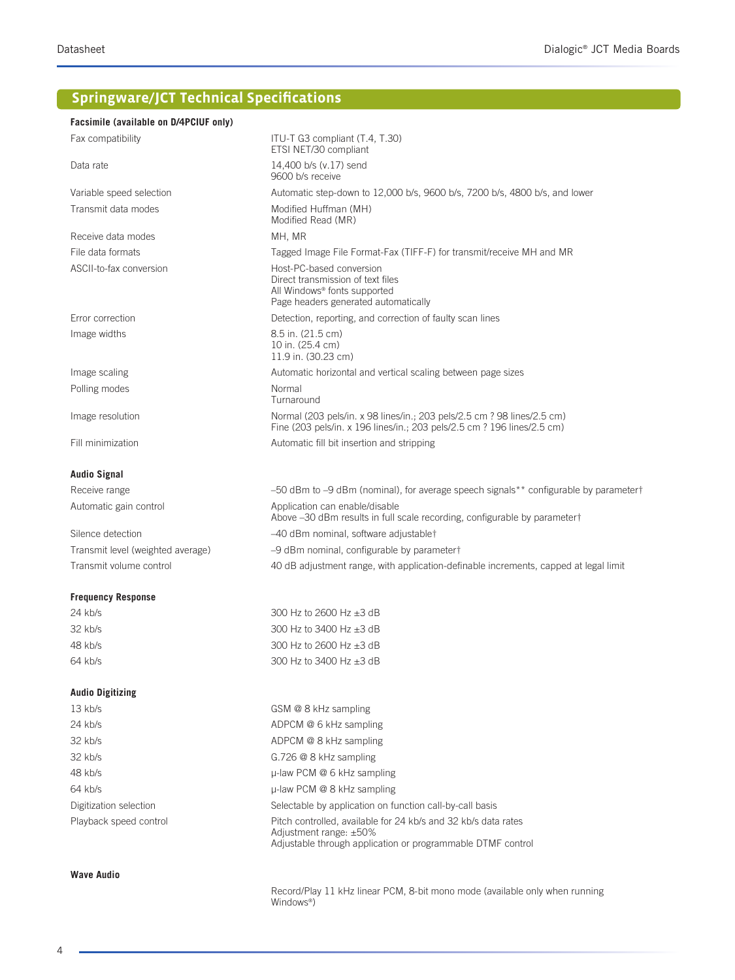# **Springware/JCT Technical Specifications**

| Facsimile (available on D/4PCIUF only) |                                                                                                                                                    |
|----------------------------------------|----------------------------------------------------------------------------------------------------------------------------------------------------|
| Fax compatibility                      | ITU-T G3 compliant (T.4, T.30)<br>ETSI NET/30 compliant                                                                                            |
| Data rate                              | 14.400 b/s (v.17) send<br>9600 b/s receive                                                                                                         |
| Variable speed selection               | Automatic step-down to 12,000 b/s, 9600 b/s, 7200 b/s, 4800 b/s, and lower                                                                         |
| Transmit data modes                    | Modified Huffman (MH)<br>Modified Read (MR)                                                                                                        |
| Receive data modes                     | MH, MR                                                                                                                                             |
| File data formats                      | Tagged Image File Format-Fax (TIFF-F) for transmit/receive MH and MR                                                                               |
| ASCII-to-fax conversion                | Host-PC-based conversion<br>Direct transmission of text files<br>All Windows <sup>®</sup> fonts supported<br>Page headers generated automatically  |
| Error correction                       | Detection, reporting, and correction of faulty scan lines                                                                                          |
| Image widths                           | 8.5 in. (21.5 cm)<br>10 in. (25.4 cm)<br>11.9 in. (30.23 cm)                                                                                       |
| Image scaling                          | Automatic horizontal and vertical scaling between page sizes                                                                                       |
| Polling modes                          | Normal<br>Turnaround                                                                                                                               |
| Image resolution                       | Normal (203 pels/in. x 98 lines/in.; 203 pels/2.5 cm ? 98 lines/2.5 cm)<br>Fine (203 pels/in. x 196 lines/in.; 203 pels/2.5 cm ? 196 lines/2.5 cm) |
| Fill minimization                      | Automatic fill bit insertion and stripping                                                                                                         |
| <b>Audio Signal</b>                    |                                                                                                                                                    |
| Receive range                          | -50 dBm to -9 dBm (nominal), for average speech signals** configurable by parametert                                                               |
| Automatic gain control                 | Application can enable/disable<br>Above -30 dBm results in full scale recording, configurable by parameter†                                        |
| Silence detection                      | -40 dBm nominal, software adjustable†                                                                                                              |
| Transmit level (weighted average)      | -9 dBm nominal, configurable by parametert                                                                                                         |
| Transmit volume control                | 40 dB adjustment range, with application-definable increments, capped at legal limit                                                               |
| <b>Frequency Response</b>              |                                                                                                                                                    |
| 24 kb/s                                | 300 Hz to 2600 Hz ±3 dB                                                                                                                            |
| ----                                   |                                                                                                                                                    |

| $2 + N113$ | $\sim$                       |
|------------|------------------------------|
| $32$ kh/s  | 300 Hz to 3400 Hz $\pm$ 3 dB |
| 48 kb/s    | 300 Hz to 2600 Hz $\pm$ 3 dB |
| 64 kb/s    | 300 Hz to 3400 Hz $\pm$ 3 dB |
|            |                              |

#### **Audio Digitizing**

| $13$ kb/s              | GSM @ 8 kHz sampling                                                                                                                                          |
|------------------------|---------------------------------------------------------------------------------------------------------------------------------------------------------------|
| 24 kb/s                | ADPCM @ 6 kHz sampling                                                                                                                                        |
| 32 kb/s                | ADPCM @ 8 kHz sampling                                                                                                                                        |
| 32 kb/s                | $G.726$ @ 8 kHz sampling                                                                                                                                      |
| 48 kb/s                | $\mu$ -law PCM @ 6 kHz sampling                                                                                                                               |
| 64 kb/s                | $\mu$ -law PCM @ 8 kHz sampling                                                                                                                               |
| Digitization selection | Selectable by application on function call-by-call basis                                                                                                      |
| Playback speed control | Pitch controlled, available for 24 kb/s and 32 kb/s data rates<br>Adjustment range: $\pm 50\%$<br>Adjustable through application or programmable DTMF control |

#### **Wave Audio**

 Record/Play 11 kHz linear PCM, 8-bit mono mode (available only when running Windows®)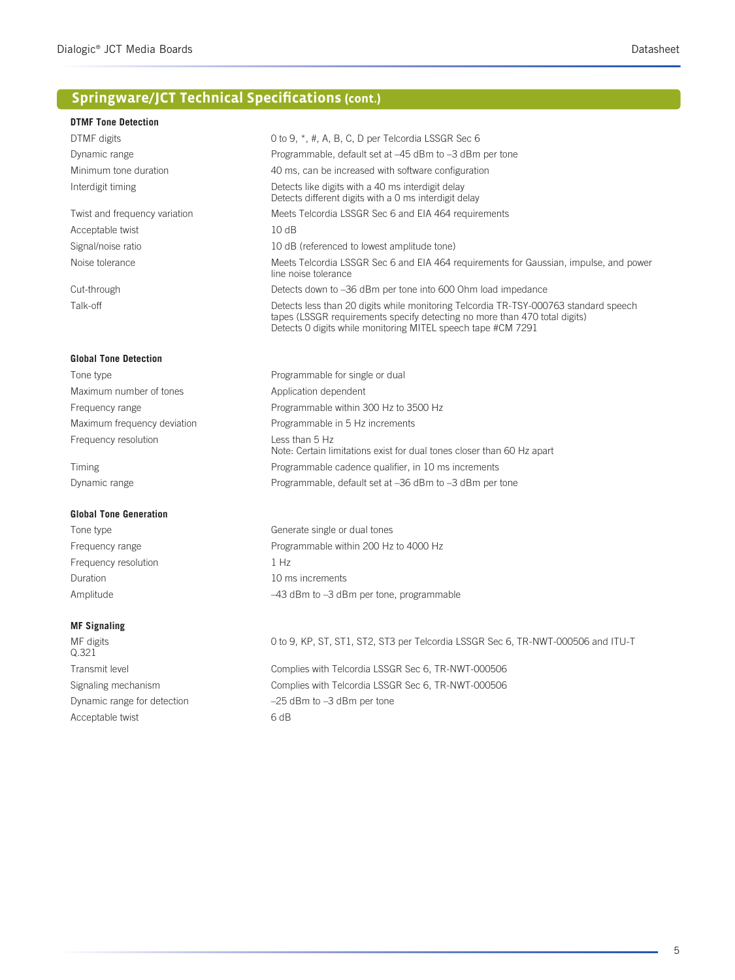# **Springware/JCT Technical Specifications (cont.)**

| <b>DTMF Tone Detection</b>    |                                                                                                                                                                                                                                    |
|-------------------------------|------------------------------------------------------------------------------------------------------------------------------------------------------------------------------------------------------------------------------------|
| DTMF digits                   | 0 to 9, *, #, A, B, C, D per Telcordia LSSGR Sec 6                                                                                                                                                                                 |
| Dynamic range                 | Programmable, default set at -45 dBm to -3 dBm per tone                                                                                                                                                                            |
| Minimum tone duration         | 40 ms, can be increased with software configuration                                                                                                                                                                                |
| Interdigit timing             | Detects like digits with a 40 ms interdigit delay<br>Detects different digits with a 0 ms interdigit delay                                                                                                                         |
| Twist and frequency variation | Meets Telcordia LSSGR Sec 6 and EIA 464 requirements                                                                                                                                                                               |
| Acceptable twist              | 10dB                                                                                                                                                                                                                               |
| Signal/noise ratio            | 10 dB (referenced to lowest amplitude tone)                                                                                                                                                                                        |
| Noise tolerance               | Meets Telcordia LSSGR Sec 6 and EIA 464 requirements for Gaussian, impulse, and power<br>line noise tolerance                                                                                                                      |
| Cut-through                   | Detects down to -36 dBm per tone into 600 Ohm load impedance                                                                                                                                                                       |
| Talk-off                      | Detects less than 20 digits while monitoring Telcordia TR-TSY-000763 standard speech<br>tapes (LSSGR requirements specify detecting no more than 470 total digits)<br>Detects 0 digits while monitoring MITEL speech tape #CM 7291 |
| <b>Global Tone Detection</b>  |                                                                                                                                                                                                                                    |
| Tone type                     | Programmable for single or dual                                                                                                                                                                                                    |
| Maximum number of tones       | Application dependent                                                                                                                                                                                                              |
| Frequency range               | Programmable within 300 Hz to 3500 Hz                                                                                                                                                                                              |
| Maximum frequency deviation   | Programmable in 5 Hz increments                                                                                                                                                                                                    |
| Frequency resolution          | Less than 5 Hz<br>Note: Certain limitations exist for dual tones closer than 60 Hz apart                                                                                                                                           |
| Timing                        | Programmable cadence qualifier, in 10 ms increments                                                                                                                                                                                |
| Dynamic range                 | Programmable, default set at -36 dBm to -3 dBm per tone                                                                                                                                                                            |
| <b>Global Tone Generation</b> |                                                                                                                                                                                                                                    |
| Tone type                     | Generate single or dual tones                                                                                                                                                                                                      |
| Frequency range               | Programmable within 200 Hz to 4000 Hz                                                                                                                                                                                              |
| Frequency resolution          | 1 Hz                                                                                                                                                                                                                               |
| Duration                      | 10 ms increments                                                                                                                                                                                                                   |
| Amplitude                     | -43 dBm to -3 dBm per tone, programmable                                                                                                                                                                                           |
| <b>MF Signaling</b>           |                                                                                                                                                                                                                                    |
| MF digits<br>Q.321            | 0 to 9, KP, ST, ST1, ST2, ST3 per Telcordia LSSGR Sec 6, TR-NWT-000506 and ITU-T                                                                                                                                                   |
| Transmit level                | Complies with Telcordia LSSGR Sec 6, TR-NWT-000506                                                                                                                                                                                 |
| Signaling mechanism           | Complies with Telcordia LSSGR Sec 6, TR-NWT-000506                                                                                                                                                                                 |
| Dynamic range for detection   | $-25$ dBm to $-3$ dBm per tone                                                                                                                                                                                                     |
| Acceptable twist              | 6 dB                                                                                                                                                                                                                               |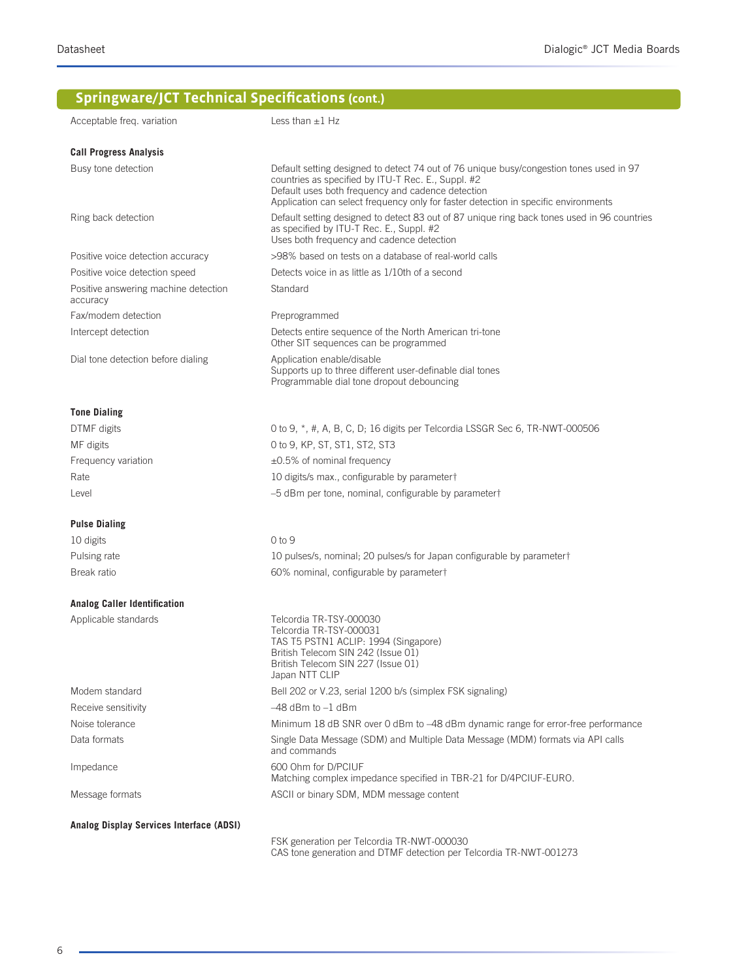# **Springware/JCT Technical Specifications (cont.)**

| Acceptable freq. variation                       | Less than $\pm 1$ Hz                                                                                                                                                                                                                                                                      |
|--------------------------------------------------|-------------------------------------------------------------------------------------------------------------------------------------------------------------------------------------------------------------------------------------------------------------------------------------------|
| <b>Call Progress Analysis</b>                    |                                                                                                                                                                                                                                                                                           |
| Busy tone detection                              | Default setting designed to detect 74 out of 76 unique busy/congestion tones used in 97<br>countries as specified by ITU-T Rec. E., Suppl. #2<br>Default uses both frequency and cadence detection<br>Application can select frequency only for faster detection in specific environments |
| Ring back detection                              | Default setting designed to detect 83 out of 87 unique ring back tones used in 96 countries<br>as specified by ITU-T Rec. E., Suppl. #2<br>Uses both frequency and cadence detection                                                                                                      |
| Positive voice detection accuracy                | >98% based on tests on a database of real-world calls                                                                                                                                                                                                                                     |
| Positive voice detection speed                   | Detects voice in as little as 1/10th of a second                                                                                                                                                                                                                                          |
| Positive answering machine detection<br>accuracy | Standard                                                                                                                                                                                                                                                                                  |
| Fax/modem detection                              | Preprogrammed                                                                                                                                                                                                                                                                             |
| Intercept detection                              | Detects entire sequence of the North American tri-tone<br>Other SIT sequences can be programmed                                                                                                                                                                                           |
| Dial tone detection before dialing               | Application enable/disable<br>Supports up to three different user-definable dial tones<br>Programmable dial tone dropout debouncing                                                                                                                                                       |
| <b>Tone Dialing</b>                              |                                                                                                                                                                                                                                                                                           |
| DTMF digits                                      | 0 to 9, *, #, A, B, C, D; 16 digits per Telcordia LSSGR Sec 6, TR-NWT-000506                                                                                                                                                                                                              |
| MF digits                                        | 0 to 9, KP, ST, ST1, ST2, ST3                                                                                                                                                                                                                                                             |
| Frequency variation                              | $\pm 0.5\%$ of nominal frequency                                                                                                                                                                                                                                                          |
| Rate                                             | 10 digits/s max., configurable by parametert                                                                                                                                                                                                                                              |
| Level                                            | -5 dBm per tone, nominal, configurable by parameter†                                                                                                                                                                                                                                      |
| <b>Pulse Dialing</b>                             |                                                                                                                                                                                                                                                                                           |
| 10 digits                                        | 0 to 9                                                                                                                                                                                                                                                                                    |
| Pulsing rate                                     | 10 pulses/s, nominal; 20 pulses/s for Japan configurable by parametert                                                                                                                                                                                                                    |
| Break ratio                                      | 60% nominal, configurable by parametert                                                                                                                                                                                                                                                   |
| <b>Analog Caller Identification</b>              |                                                                                                                                                                                                                                                                                           |
| Applicable standards                             | Telcordia TR-TSY-000030<br>Telcordia TR-TSY-000031<br>TAS T5 PSTN1 ACLIP: 1994 (Singapore)<br>British Telecom SIN 242 (Issue 01)<br>British Telecom SIN 227 (Issue 01)<br>Japan NTT CLIP                                                                                                  |
| Modem standard                                   | Bell 202 or V.23, serial 1200 b/s (simplex FSK signaling)                                                                                                                                                                                                                                 |
| Receive sensitivity                              | $-48$ dBm to $-1$ dBm                                                                                                                                                                                                                                                                     |
| Noise tolerance                                  | Minimum 18 dB SNR over 0 dBm to -48 dBm dynamic range for error-free performance                                                                                                                                                                                                          |
| Data formats                                     | Single Data Message (SDM) and Multiple Data Message (MDM) formats via API calls<br>and commands                                                                                                                                                                                           |
| Impedance                                        | 600 Ohm for D/PCIUF<br>Matching complex impedance specified in TBR-21 for D/4PCIUF-EURO.                                                                                                                                                                                                  |
| Message formats                                  | ASCII or binary SDM, MDM message content                                                                                                                                                                                                                                                  |
| Analog Display Services Interface (ADSI)         | FSK generation per Telcordia TR-NWT-000030                                                                                                                                                                                                                                                |

CAS tone generation and DTMF detection per Telcordia TR-NWT-001273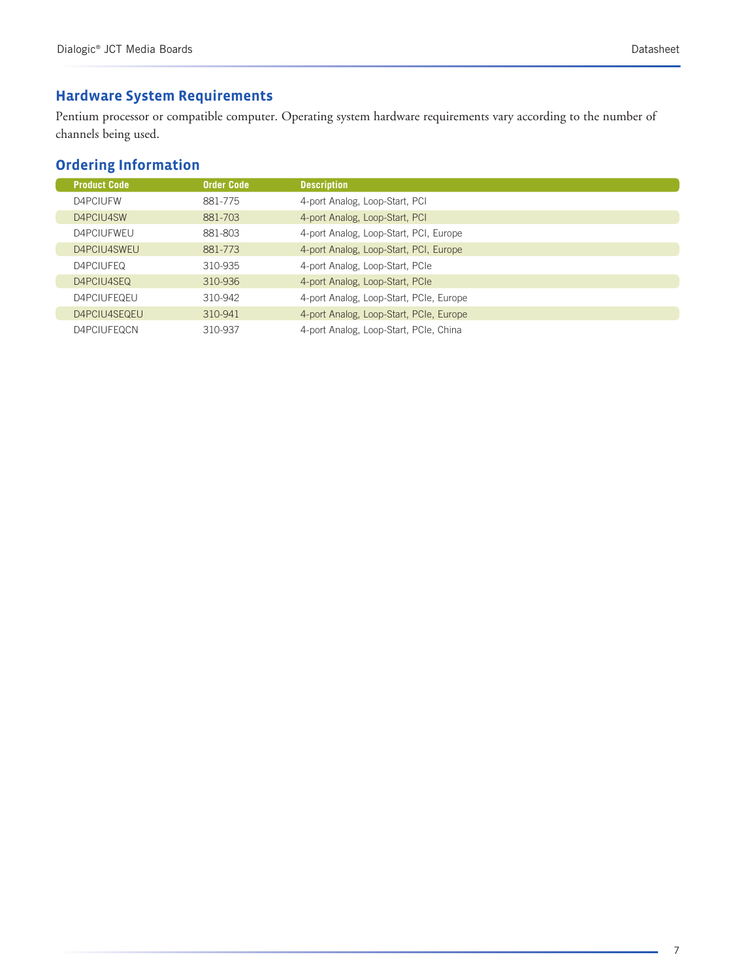#### **Hardware System Requirements**

Pentium processor or compatible computer. Operating system hardware requirements vary according to the number of channels being used.

### **Ordering Information**

| <b>Product Code</b> | <b>Order Code</b> | <b>Description</b>                      |
|---------------------|-------------------|-----------------------------------------|
| D4PCIUFW            | 881-775           | 4-port Analog, Loop-Start, PCI          |
| D4PCIU4SW           | 881-703           | 4-port Analog, Loop-Start, PCI          |
| D4PCIUFWEU          | 881-803           | 4-port Analog, Loop-Start, PCI, Europe  |
| D4PCIU4SWEU         | 881-773           | 4-port Analog, Loop-Start, PCI, Europe  |
| D4PCIUFEQ           | 310-935           | 4-port Analog, Loop-Start, PCIe         |
| D4PCIU4SEQ          | 310-936           | 4-port Analog, Loop-Start, PCIe         |
| D4PCIUFEQEU         | 310-942           | 4-port Analog, Loop-Start, PCIe, Europe |
| D4PCIU4SEQEU        | 310-941           | 4-port Analog, Loop-Start, PCIe, Europe |
| D4PCIUFEQCN         | 310-937           | 4-port Analog, Loop-Start, PCIe, China  |